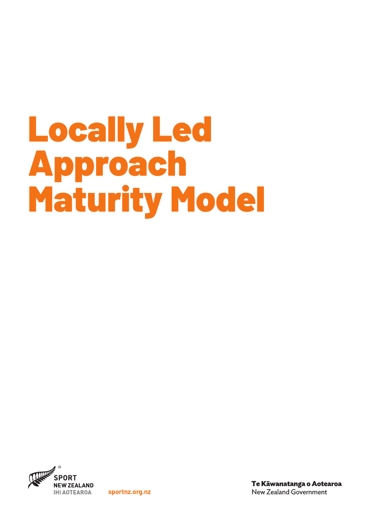# Locally Led Approach Maturity Model



**sportnz.org.nz**

Te Kāwanatanga o Aotearoa **New Zealand Government**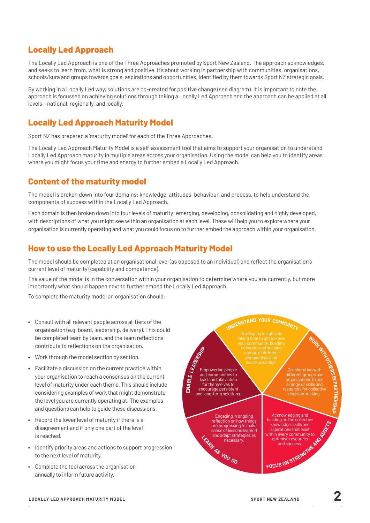## **Locally Led Approach**

The Locally Led Approach is one of the Three Approaches promoted by Sport New Zealand. The approach acknowledges, and seeks to learn from, what is strong and positive. It's about working in partnership with communities, organisations, schools/kura and groups towards goals, aspirations and opportunities, identified by them towards Sport NZ strategic goals.

By working in a Locally Led way, solutions are co-created for positive change (see diagram). It is important to note the approach is focussed on achieving solutions through taking a Locally Led Approach and the approach can be applied at all levels – national, regionally, and locally.

## **Locally Led Approach Maturity Model**

Sport NZ has prepared a 'maturity model' for each of the Three Approaches.

The Locally Led Approach Maturity Model is a self-assessment tool that aims to support your organisation to understand Locally Led Approach maturity in multiple areas across your organisation. Using the model can help you to identify areas where you might focus your time and energy to further embed a Locally Led Approach.

## **Content of the maturity model**

The model is broken down into four domains: knowledge, attitudes, behaviour, and process, to help understand the components of success within the Locally Led Approach.

Each domain is then broken down into four levels of maturity: emerging, developing, consolidating and highly developed, with descriptions of what you might see within an organisation at each level. These will help you to explore where your organisation is currently operating and what you could focus on to further embed the approach within your organisation.

### **How to use the Locally Led Approach Maturity Model**

The model should be completed at an organisational level (as opposed to an individual) and reflect the organisation's current level of maturity (capability and competence).

The value of the model is in the conversation within your organisation to determine where you are currently, but more importantly what should happen next to further embed the Locally Led Approach.

To complete the maturity model an organisation should:

- **•** Consult with all relevant people across all tiers of the organisation (e.g. board, leadership, delivery). This could be completed team by team, and the team reflections contribute to reflections on the organisation.
- **•** Work through the model section by section.
- **•** Facilitate a discussion on the current practice within your organisation to reach a consensus on the current level of maturity under each theme. This should include considering examples of work that might demonstrate the level you are currently operating at. The examples and questions can help to guide these discussions.
- **•** Record the lower level of maturity if there is a disagreement and if only one part of the level is reached.
- **•** Identify priority areas and actions to support progression to the next level of maturity.
- **•** Complete the tool across the organisation annually to inform future activity.

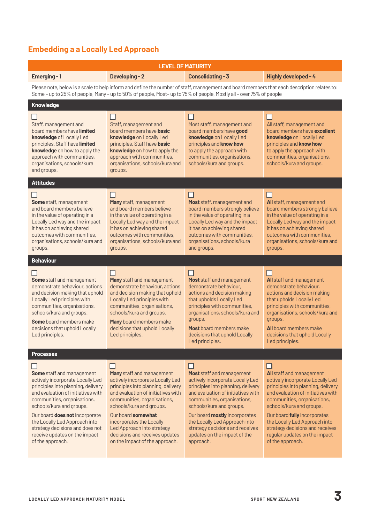## **Embedding a a Locally Led Approach**

| <b>LEVEL OF MATURITY</b>                                                                                                                                                                                                                                                                                                                                        |                                                                                                                                                                                                                                                                                                                                                          |                                                                                                                                                                                                                                                                                                                                                        |                                                                                                                                                                                                                                                                                                                                                                          |
|-----------------------------------------------------------------------------------------------------------------------------------------------------------------------------------------------------------------------------------------------------------------------------------------------------------------------------------------------------------------|----------------------------------------------------------------------------------------------------------------------------------------------------------------------------------------------------------------------------------------------------------------------------------------------------------------------------------------------------------|--------------------------------------------------------------------------------------------------------------------------------------------------------------------------------------------------------------------------------------------------------------------------------------------------------------------------------------------------------|--------------------------------------------------------------------------------------------------------------------------------------------------------------------------------------------------------------------------------------------------------------------------------------------------------------------------------------------------------------------------|
| Emerging-1                                                                                                                                                                                                                                                                                                                                                      | <b>Developing-2</b>                                                                                                                                                                                                                                                                                                                                      | Consolidating - 3                                                                                                                                                                                                                                                                                                                                      | Highly developed - 4                                                                                                                                                                                                                                                                                                                                                     |
| Please note, below is a scale to help inform and define the number of staff, management and board members that each description relates to:<br>Some - up to 25% of people, Many - up to 50% of people, Most- up to 75% of people, Mostly all - over 75% of people                                                                                               |                                                                                                                                                                                                                                                                                                                                                          |                                                                                                                                                                                                                                                                                                                                                        |                                                                                                                                                                                                                                                                                                                                                                          |
| Knowledge                                                                                                                                                                                                                                                                                                                                                       |                                                                                                                                                                                                                                                                                                                                                          |                                                                                                                                                                                                                                                                                                                                                        |                                                                                                                                                                                                                                                                                                                                                                          |
| Staff, management and<br>board members have limited<br>knowledge of Locally Led<br>principles. Staff have limited<br>knowledge on how to apply the<br>approach with communities,<br>organisations, schools/kura<br>and groups.                                                                                                                                  | Staff, management and<br>board members have <b>basic</b><br>knowledge on Locally Led<br>principles. Staff have basic<br>knowledge on how to apply the<br>approach with communities,<br>organisations, schools/kura and<br>groups.                                                                                                                        | Most staff, management and<br>board members have good<br>knowledge on Locally Led<br>principles and know how<br>to apply the approach with<br>communities, organisations,<br>schools/kura and groups.                                                                                                                                                  | П<br>All staff, management and<br>board members have excellent<br>knowledge on Locally Led<br>principles and know how<br>to apply the approach with<br>communities, organisations,<br>schools/kura and groups.                                                                                                                                                           |
| <b>Attitudes</b>                                                                                                                                                                                                                                                                                                                                                |                                                                                                                                                                                                                                                                                                                                                          |                                                                                                                                                                                                                                                                                                                                                        |                                                                                                                                                                                                                                                                                                                                                                          |
| <b>Some</b> staff, management<br>and board members believe<br>in the value of operating in a<br>Locally Led way and the impact<br>it has on achieving shared<br>outcomes with communities,<br>organisations, schools/kura and<br>groups.                                                                                                                        | H<br>Many staff, management<br>and board members believe<br>in the value of operating in a<br>Locally Led way and the impact<br>it has on achieving shared<br>outcomes with communities.<br>organisations, schools/kura and<br>groups.                                                                                                                   | $\mathsf{L}$<br>Most staff, management and<br>board members strongly believe<br>in the value of operating in a<br>Locally Led way and the impact<br>it has on achieving shared<br>outcomes with communities.<br>organisations, schools/kura<br>and groups.                                                                                             | П<br>All staff, management and<br>board members strongly believe<br>in the value of operating in a<br>Locally Led way and the impact<br>it has on achieving shared<br>outcomes with communities.<br>organisations, schools/kura and<br>groups.                                                                                                                           |
| <b>Behaviour</b>                                                                                                                                                                                                                                                                                                                                                |                                                                                                                                                                                                                                                                                                                                                          |                                                                                                                                                                                                                                                                                                                                                        |                                                                                                                                                                                                                                                                                                                                                                          |
| Some staff and management<br>demonstrate behaviour, actions<br>and decision making that uphold<br>Locally Led principles with<br>communities, organisations,<br>schools/kura and groups.<br>Some board members make<br>decisions that uphold Locally<br>Led principles.                                                                                         | Many staff and management<br>demonstrate behaviour, actions<br>and decision making that uphold<br>Locally Led principles with<br>communities, organisations,<br>schools/kura and groups.<br>Many board members make<br>decisions that uphold Locally<br>Led principles.                                                                                  | ΙI<br>Most staff and management<br>demonstrate behaviour,<br>actions and decision making<br>that upholds Locally Led<br>principles with communities,<br>organisations, schools/kura and<br>groups.<br>Most board members make<br>decisions that uphold Locally<br>Led principles.                                                                      | $\mathsf{L}$<br>All staff and management<br>demonstrate behaviour,<br>actions and decision making<br>that upholds Locally Led<br>principles with communities,<br>organisations, schools/kura and<br>groups.<br>All board members make<br>decisions that uphold Locally<br>Led principles.                                                                                |
| <b>Processes</b>                                                                                                                                                                                                                                                                                                                                                |                                                                                                                                                                                                                                                                                                                                                          |                                                                                                                                                                                                                                                                                                                                                        |                                                                                                                                                                                                                                                                                                                                                                          |
| Some staff and management<br>actively incorporate Locally Led<br>principles into planning, delivery<br>and evaluation of initiatives with<br>communities, organisations,<br>schools/kura and groups.<br>Our board does not incorporate<br>the Locally Led Approach into<br>strategy decisions and does not<br>receive updates on the impact<br>of the approach. | Many staff and management<br>actively incorporate Locally Led<br>principles into planning, delivery<br>and evaluation of initiatives with<br>communities, organisations,<br>schools/kura and groups.<br>Our board somewhat<br>incorporates the Locally<br>Led Approach into strategy<br>decisions and receives updates<br>on the impact of the approach. | Most staff and management<br>actively incorporate Locally Led<br>principles into planning, delivery<br>and evaluation of initiatives with<br>communities, organisations,<br>schools/kura and groups.<br>Our board mostly incorporates<br>the Locally Led Approach into<br>strategy decisions and receives<br>updates on the impact of the<br>approach. | H<br><b>All</b> staff and management<br>actively incorporate Locally Led<br>principles into planning, delivery<br>and evaluation of initiatives with<br>communities, organisations,<br>schools/kura and groups.<br>Our board fully incorporates<br>the Locally Led Approach into<br>strategy decisions and receives<br>regular updates on the impact<br>of the approach. |
|                                                                                                                                                                                                                                                                                                                                                                 |                                                                                                                                                                                                                                                                                                                                                          |                                                                                                                                                                                                                                                                                                                                                        |                                                                                                                                                                                                                                                                                                                                                                          |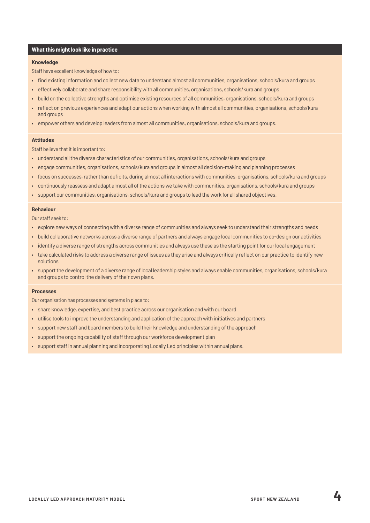#### **What this might look like in practice**

#### **Knowledge**

Staff have excellent knowledge of how to:

- find existing information and collect new data to understand almost all communities, organisations, schools/kura and groups
- effectively collaborate and share responsibility with all communities, organisations, schools/kura and groups
- build on the collective strengths and optimise existing resources of all communities, organisations, schools/kura and groups
- reflect on previous experiences and adapt our actions when working with almost all communities, organisations, schools/kura and groups
- empower others and develop leaders from almost all communities, organisations, schools/kura and groups.

#### **Attitudes**

Staff believe that it is important to:

- understand all the diverse characteristics of our communities, organisations, schools/kura and groups
- engage communities, organisations, schools/kura and groups in almost all decision-making and planning processes
- focus on successes, rather than deficits, during almost all interactions with communities, organisations, schools/kura and groups
- continuously reassess and adapt almost all of the actions we take with communities, organisations, schools/kura and groups
- support our communities, organisations, schools/kura and groups to lead the work for all shared objectives.

#### **Behaviour**

Our staff seek to:

- explore new ways of connecting with a diverse range of communities and always seek to understand their strengths and needs
- build collaborative networks across a diverse range of partners and always engage local communities to co-design our activities
- identify a diverse range of strengths across communities and always use these as the starting point for our local engagement
- take calculated risks to address a diverse range of issues as they arise and always critically reflect on our practice to identify new solutions
- support the development of a diverse range of local leadership styles and always enable communities, organisations, schools/kura and groups to control the delivery of their own plans.

#### **Processes**

Our organisation has processes and systems in place to:

- share knowledge, expertise, and best practice across our organisation and with our board
- utilise tools to improve the understanding and application of the approach with initiatives and partners
- support new staff and board members to build their knowledge and understanding of the approach
- support the ongoing capability of staff through our workforce development plan
- support staff in annual planning and incorporating Locally Led principles within annual plans.